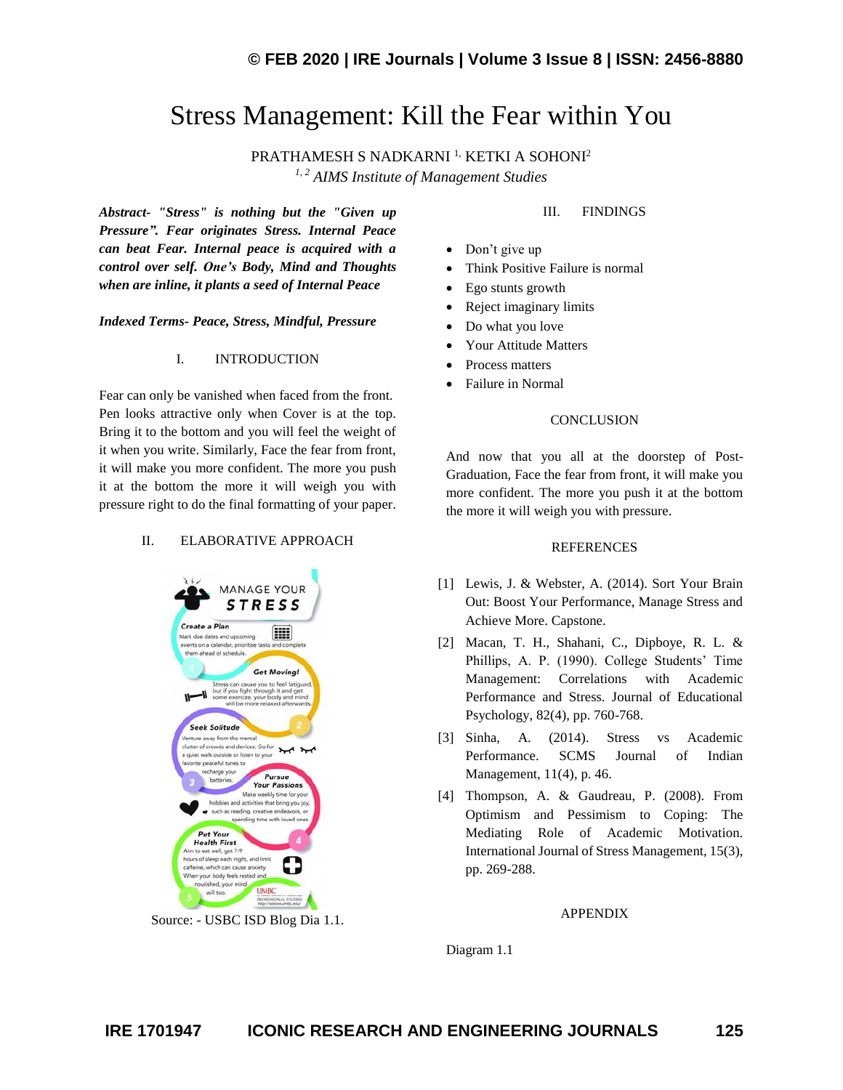# Stress Management: Kill the Fear within You

PRATHAMESH S NADKARNI<sup>1,</sup> KETKI A SOHONI<sup>2</sup> *1, 2 AIMS Institute of Management Studies*

*Abstract- "Stress" is nothing but the "Given up Pressure". Fear originates Stress. Internal Peace can beat Fear. Internal peace is acquired with a control over self. One's Body, Mind and Thoughts when are inline, it plants a seed of Internal Peace*

## *Indexed Terms- Peace, Stress, Mindful, Pressure*

## I. INTRODUCTION

Fear can only be vanished when faced from the front. Pen looks attractive only when Cover is at the top. Bring it to the bottom and you will feel the weight of it when you write. Similarly, Face the fear from front, it will make you more confident. The more you push it at the bottom the more it will weigh you with pressure right to do the final formatting of your paper.

### II. ELABORATIVE APPROACH



Source: - USBC ISD Blog Dia 1.1.

## III. FINDINGS

- Don't give up
- Think Positive Failure is normal
- Ego stunts growth
- Reject imaginary limits
- Do what you love
- Your Attitude Matters
- Process matters
- Failure in Normal

## **CONCLUSION**

And now that you all at the doorstep of Post-Graduation, Face the fear from front, it will make you more confident. The more you push it at the bottom the more it will weigh you with pressure.

#### REFERENCES

- [1] Lewis, J. & Webster, A. (2014). Sort Your Brain Out: Boost Your Performance, Manage Stress and Achieve More. Capstone.
- [2] Macan, T. H., Shahani, C., Dipboye, R. L. & Phillips, A. P. (1990). College Students' Time Management: Correlations with Academic Performance and Stress. Journal of Educational Psychology, 82(4), pp. 760-768.
- [3] Sinha, A. (2014). Stress vs Academic Performance. SCMS Journal of Indian Management, 11(4), p. 46.
- [4] Thompson, A. & Gaudreau, P. (2008). From Optimism and Pessimism to Coping: The Mediating Role of Academic Motivation. International Journal of Stress Management, 15(3), pp. 269-288.

### APPENDIX

Diagram 1.1